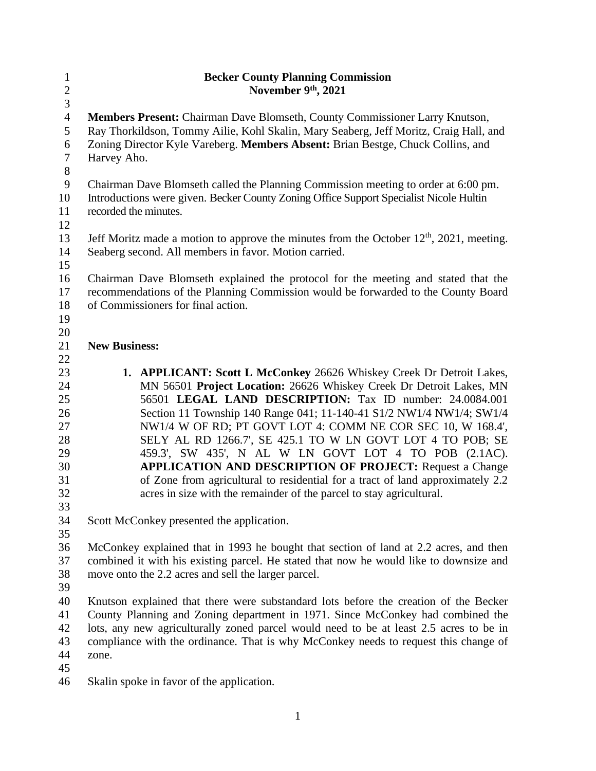| $\mathbf{1}$     | <b>Becker County Planning Commission</b>                                                  |  |  |
|------------------|-------------------------------------------------------------------------------------------|--|--|
| $\overline{c}$   | November 9th, 2021                                                                        |  |  |
| 3                |                                                                                           |  |  |
| $\overline{4}$   | Members Present: Chairman Dave Blomseth, County Commissioner Larry Knutson,               |  |  |
| 5                | Ray Thorkildson, Tommy Ailie, Kohl Skalin, Mary Seaberg, Jeff Moritz, Craig Hall, and     |  |  |
| 6                | Zoning Director Kyle Vareberg. Members Absent: Brian Bestge, Chuck Collins, and           |  |  |
| $\boldsymbol{7}$ | Harvey Aho.                                                                               |  |  |
| $8\,$            |                                                                                           |  |  |
| $\overline{9}$   | Chairman Dave Blomseth called the Planning Commission meeting to order at 6:00 pm.        |  |  |
| 10               | Introductions were given. Becker County Zoning Office Support Specialist Nicole Hultin    |  |  |
| 11               | recorded the minutes.                                                                     |  |  |
| 12               |                                                                                           |  |  |
| 13               | Jeff Moritz made a motion to approve the minutes from the October $12th$ , 2021, meeting. |  |  |
| 14               | Seaberg second. All members in favor. Motion carried.                                     |  |  |
| 15               |                                                                                           |  |  |
| 16               | Chairman Dave Blomseth explained the protocol for the meeting and stated that the         |  |  |
| 17               | recommendations of the Planning Commission would be forwarded to the County Board         |  |  |
| 18               | of Commissioners for final action.                                                        |  |  |
| 19               |                                                                                           |  |  |
| 20               |                                                                                           |  |  |
| 21               | <b>New Business:</b>                                                                      |  |  |
| 22               |                                                                                           |  |  |
| 23               | 1. APPLICANT: Scott L McConkey 26626 Whiskey Creek Dr Detroit Lakes,                      |  |  |
| 24               | MN 56501 Project Location: 26626 Whiskey Creek Dr Detroit Lakes, MN                       |  |  |
| 25               | 56501 LEGAL LAND DESCRIPTION: Tax ID number: 24.0084.001                                  |  |  |
| 26               | Section 11 Township 140 Range 041; 11-140-41 S1/2 NW1/4 NW1/4; SW1/4                      |  |  |
| 27               | NW1/4 W OF RD; PT GOVT LOT 4: COMM NE COR SEC 10, W 168.4',                               |  |  |
| 28               | SELY AL RD 1266.7', SE 425.1 TO W LN GOVT LOT 4 TO POB; SE                                |  |  |
| 29               | 459.3', SW 435', N AL W LN GOVT LOT 4 TO POB (2.1AC).                                     |  |  |
| 30               | <b>APPLICATION AND DESCRIPTION OF PROJECT:</b> Request a Change                           |  |  |
| 31               | of Zone from agricultural to residential for a tract of land approximately 2.2            |  |  |
| 32               | acres in size with the remainder of the parcel to stay agricultural.                      |  |  |
| 33               |                                                                                           |  |  |
| 34               | Scott McConkey presented the application.                                                 |  |  |
| 35               |                                                                                           |  |  |
| 36               | McConkey explained that in 1993 he bought that section of land at 2.2 acres, and then     |  |  |
| 37               | combined it with his existing parcel. He stated that now he would like to downsize and    |  |  |
| 38               | move onto the 2.2 acres and sell the larger parcel.                                       |  |  |
| 39               |                                                                                           |  |  |
| 40<br>41         | Knutson explained that there were substandard lots before the creation of the Becker      |  |  |
| 42               | County Planning and Zoning department in 1971. Since McConkey had combined the            |  |  |
|                  | lots, any new agriculturally zoned parcel would need to be at least 2.5 acres to be in    |  |  |
| 43<br>44         | compliance with the ordinance. That is why McConkey needs to request this change of       |  |  |
| 45               | zone.                                                                                     |  |  |
| 46               |                                                                                           |  |  |
|                  | Skalin spoke in favor of the application.                                                 |  |  |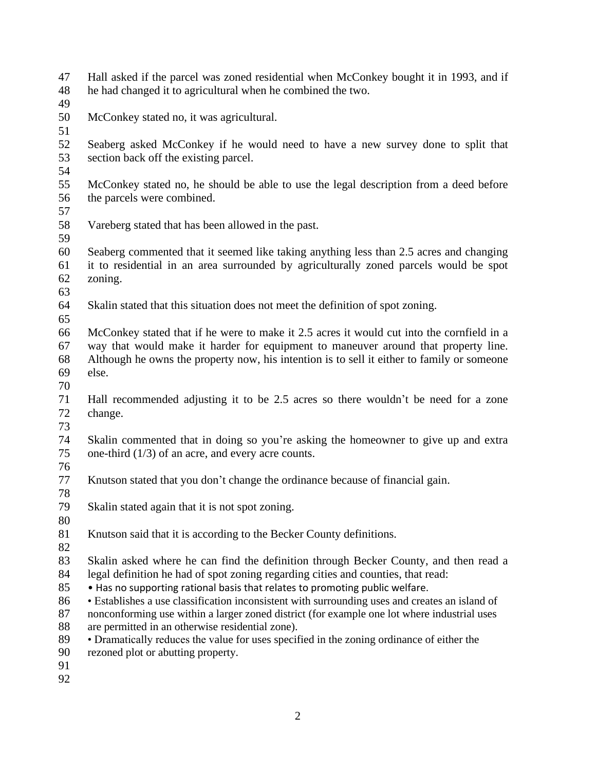- Hall asked if the parcel was zoned residential when McConkey bought it in 1993, and if he had changed it to agricultural when he combined the two.
- 
- McConkey stated no, it was agricultural.
- 
- Seaberg asked McConkey if he would need to have a new survey done to split that section back off the existing parcel.
- 
- McConkey stated no, he should be able to use the legal description from a deed before the parcels were combined.
- 
- Vareberg stated that has been allowed in the past.
- 
- Seaberg commented that it seemed like taking anything less than 2.5 acres and changing it to residential in an area surrounded by agriculturally zoned parcels would be spot zoning.
- 
- Skalin stated that this situation does not meet the definition of spot zoning.
- 
- McConkey stated that if he were to make it 2.5 acres it would cut into the cornfield in a way that would make it harder for equipment to maneuver around that property line. Although he owns the property now, his intention is to sell it either to family or someone else.
- 
- Hall recommended adjusting it to be 2.5 acres so there wouldn't be need for a zone change.
- 
- Skalin commented that in doing so you're asking the homeowner to give up and extra one-third (1/3) of an acre, and every acre counts.
- 
- Knutson stated that you don't change the ordinance because of financial gain.
- Skalin stated again that it is not spot zoning.
- 
- Knutson said that it is according to the Becker County definitions.
- 
- Skalin asked where he can find the definition through Becker County, and then read a legal definition he had of spot zoning regarding cities and counties, that read:
- Has no supporting rational basis that relates to promoting public welfare.
- Establishes a use classification inconsistent with surrounding uses and creates an island of
- 87 nonconforming use within a larger zoned district (for example one lot where industrial uses are permitted in an otherwise residential zone). are permitted in an otherwise residential zone).
- Dramatically reduces the value for uses specified in the zoning ordinance of either the
- rezoned plot or abutting property.
- 
-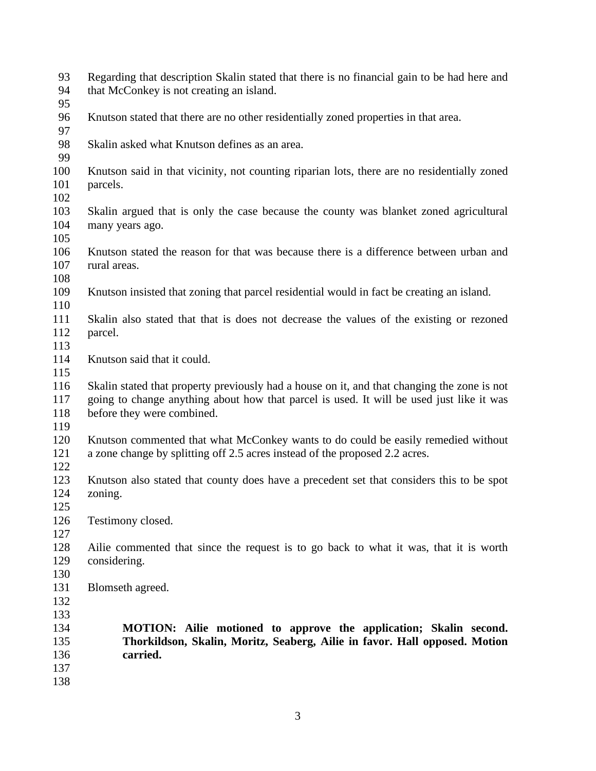| 93<br>94                               | Regarding that description Skalin stated that there is no financial gain to be had here and<br>that McConkey is not creating an island.                                                                               |  |
|----------------------------------------|-----------------------------------------------------------------------------------------------------------------------------------------------------------------------------------------------------------------------|--|
| 95<br>96<br>97                         | Knutson stated that there are no other residentially zoned properties in that area.                                                                                                                                   |  |
| 98<br>99                               | Skalin asked what Knutson defines as an area.                                                                                                                                                                         |  |
| 100<br>101                             | Knutson said in that vicinity, not counting riparian lots, there are no residentially zoned<br>parcels.                                                                                                               |  |
| 102<br>103<br>104<br>105               | Skalin argued that is only the case because the county was blanket zoned agricultural<br>many years ago.                                                                                                              |  |
| 106<br>107<br>108                      | Knutson stated the reason for that was because there is a difference between urban and<br>rural areas.                                                                                                                |  |
| 109<br>110                             | Knutson insisted that zoning that parcel residential would in fact be creating an island.                                                                                                                             |  |
| 111<br>112<br>113                      | Skalin also stated that that is does not decrease the values of the existing or rezoned<br>parcel.                                                                                                                    |  |
| 114<br>115                             | Knutson said that it could.                                                                                                                                                                                           |  |
| 116<br>117<br>118<br>119               | Skalin stated that property previously had a house on it, and that changing the zone is not<br>going to change anything about how that parcel is used. It will be used just like it was<br>before they were combined. |  |
| 120<br>121<br>122                      | Knutson commented that what McConkey wants to do could be easily remedied without<br>a zone change by splitting off 2.5 acres instead of the proposed 2.2 acres.                                                      |  |
| 123<br>124<br>125                      | Knutson also stated that county does have a precedent set that considers this to be spot<br>zoning.                                                                                                                   |  |
| 126<br>127                             | Testimony closed.                                                                                                                                                                                                     |  |
| 128<br>129<br>130                      | Ailie commented that since the request is to go back to what it was, that it is worth<br>considering.                                                                                                                 |  |
| 131<br>132                             | Blomseth agreed.                                                                                                                                                                                                      |  |
| 133<br>134<br>135<br>136<br>137<br>138 | MOTION: Ailie motioned to approve the application; Skalin second.<br>Thorkildson, Skalin, Moritz, Seaberg, Ailie in favor. Hall opposed. Motion<br>carried.                                                           |  |
|                                        |                                                                                                                                                                                                                       |  |